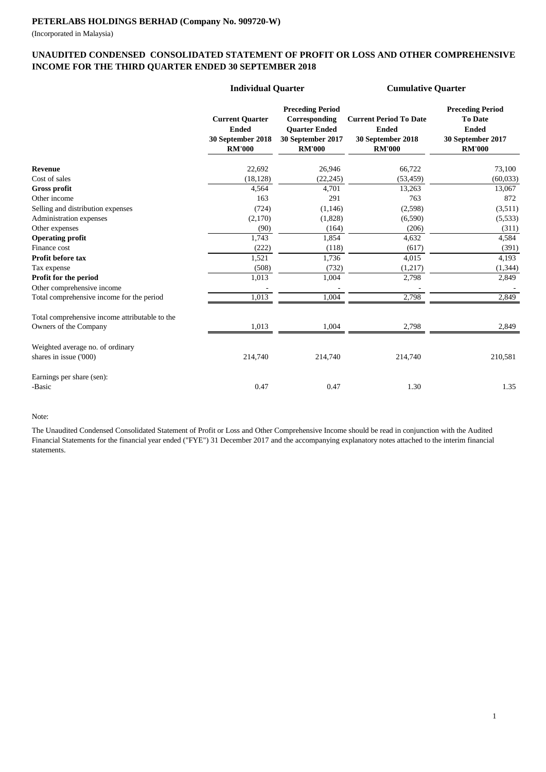(Incorporated in Malaysia)

#### **UNAUDITED CONDENSED CONSOLIDATED STATEMENT OF PROFIT OR LOSS AND OTHER COMPREHENSIVE INCOME FOR THE THIRD QUARTER ENDED 30 SEPTEMBER 2018**

|                                                | <b>Individual Quarter</b>                                                    |                                                                                                        | <b>Cumulative Quarter</b>                                                           |                                                                                                 |
|------------------------------------------------|------------------------------------------------------------------------------|--------------------------------------------------------------------------------------------------------|-------------------------------------------------------------------------------------|-------------------------------------------------------------------------------------------------|
|                                                | <b>Current Quarter</b><br><b>Ended</b><br>30 September 2018<br><b>RM'000</b> | <b>Preceding Period</b><br>Corresponding<br><b>Ouarter Ended</b><br>30 September 2017<br><b>RM'000</b> | <b>Current Period To Date</b><br><b>Ended</b><br>30 September 2018<br><b>RM'000</b> | <b>Preceding Period</b><br><b>To Date</b><br><b>Ended</b><br>30 September 2017<br><b>RM'000</b> |
| <b>Revenue</b>                                 | 22,692                                                                       | 26,946                                                                                                 | 66,722                                                                              | 73,100                                                                                          |
| Cost of sales                                  | (18, 128)                                                                    | (22, 245)                                                                                              | (53, 459)                                                                           | (60, 033)                                                                                       |
| <b>Gross profit</b>                            | 4,564                                                                        | 4,701                                                                                                  | 13,263                                                                              | 13,067                                                                                          |
| Other income                                   | 163                                                                          | 291                                                                                                    | 763                                                                                 | 872                                                                                             |
| Selling and distribution expenses              | (724)                                                                        | (1, 146)                                                                                               | (2,598)                                                                             | (3,511)                                                                                         |
| Administration expenses                        | (2,170)                                                                      | (1,828)                                                                                                | (6,590)                                                                             | (5,533)                                                                                         |
| Other expenses                                 | (90)                                                                         | (164)                                                                                                  | (206)                                                                               | (311)                                                                                           |
| <b>Operating profit</b>                        | 1,743                                                                        | 1,854                                                                                                  | 4,632                                                                               | 4,584                                                                                           |
| Finance cost                                   | (222)                                                                        | (118)                                                                                                  | (617)                                                                               | (391)                                                                                           |
| Profit before tax                              | 1,521                                                                        | 1,736                                                                                                  | 4,015                                                                               | 4,193                                                                                           |
| Tax expense                                    | (508)                                                                        | (732)                                                                                                  | (1,217)                                                                             | (1, 344)                                                                                        |
| Profit for the period                          | 1,013                                                                        | 1,004                                                                                                  | 2,798                                                                               | 2,849                                                                                           |
| Other comprehensive income                     |                                                                              |                                                                                                        |                                                                                     |                                                                                                 |
| Total comprehensive income for the period      | 1,013                                                                        | 1,004                                                                                                  | 2,798                                                                               | 2,849                                                                                           |
| Total comprehensive income attributable to the |                                                                              |                                                                                                        |                                                                                     |                                                                                                 |
| Owners of the Company                          | 1,013                                                                        | 1,004                                                                                                  | 2,798                                                                               | 2,849                                                                                           |
| Weighted average no. of ordinary               |                                                                              |                                                                                                        |                                                                                     |                                                                                                 |
| shares in issue ('000)                         | 214,740                                                                      | 214,740                                                                                                | 214,740                                                                             | 210,581                                                                                         |
| Earnings per share (sen):                      |                                                                              |                                                                                                        |                                                                                     |                                                                                                 |
| -Basic                                         | 0.47                                                                         | 0.47                                                                                                   | 1.30                                                                                | 1.35                                                                                            |

#### Note:

The Unaudited Condensed Consolidated Statement of Profit or Loss and Other Comprehensive Income should be read in conjunction with the Audited Financial Statements for the financial year ended ("FYE") 31 December 2017 and the accompanying explanatory notes attached to the interim financial statements.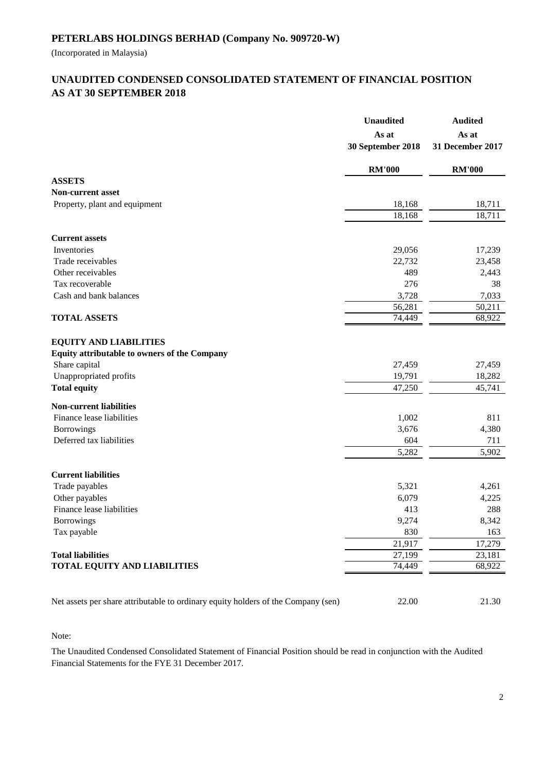(Incorporated in Malaysia)

## **AS AT 30 SEPTEMBER 2018 UNAUDITED CONDENSED CONSOLIDATED STATEMENT OF FINANCIAL POSITION**

|                                                                                                | <b>Unaudited</b><br>As at<br>30 September 2018 | <b>Audited</b><br>As at<br>31 December 2017 |
|------------------------------------------------------------------------------------------------|------------------------------------------------|---------------------------------------------|
|                                                                                                | <b>RM'000</b>                                  | <b>RM'000</b>                               |
| <b>ASSETS</b>                                                                                  |                                                |                                             |
| <b>Non-current asset</b>                                                                       |                                                |                                             |
| Property, plant and equipment                                                                  | 18,168                                         | 18,711                                      |
|                                                                                                | 18,168                                         | 18,711                                      |
| <b>Current assets</b>                                                                          |                                                |                                             |
| Inventories                                                                                    | 29,056                                         | 17,239                                      |
| Trade receivables                                                                              | 22,732                                         | 23,458                                      |
| Other receivables                                                                              | 489                                            | 2,443                                       |
| Tax recoverable                                                                                | 276                                            | 38                                          |
| Cash and bank balances                                                                         | 3,728                                          | 7,033                                       |
|                                                                                                | 56,281                                         | 50,211                                      |
| <b>TOTAL ASSETS</b>                                                                            | 74,449                                         | 68,922                                      |
| <b>EQUITY AND LIABILITIES</b><br>Equity attributable to owners of the Company<br>Share capital | 27,459                                         | 27,459                                      |
| Unappropriated profits<br><b>Total equity</b>                                                  | 19,791<br>47,250                               | 18,282<br>45,741                            |
|                                                                                                |                                                |                                             |
| <b>Non-current liabilities</b>                                                                 |                                                |                                             |
| Finance lease liabilities                                                                      | 1,002                                          | 811                                         |
| Borrowings                                                                                     | 3,676                                          | 4,380                                       |
| Deferred tax liabilities                                                                       | 604                                            | 711                                         |
|                                                                                                | 5,282                                          | 5,902                                       |
| <b>Current liabilities</b>                                                                     |                                                |                                             |
| Trade payables                                                                                 | 5,321                                          | 4,261                                       |
| Other payables                                                                                 | 6,079                                          | 4,225                                       |
| Finance lease liabilities                                                                      | 413                                            | 288                                         |
| <b>Borrowings</b>                                                                              | 9,274                                          | 8,342                                       |
| Tax payable                                                                                    | 830                                            | 163                                         |
|                                                                                                | 21,917                                         | 17,279                                      |
| <b>Total liabilities</b>                                                                       | 27,199                                         | 23,181                                      |
| TOTAL EQUITY AND LIABILITIES                                                                   | 74,449                                         | 68,922                                      |
| Net assets per share attributable to ordinary equity holders of the Company (sen)              | 22.00                                          | 21.30                                       |

Note:

The Unaudited Condensed Consolidated Statement of Financial Position should be read in conjunction with the Audited Financial Statements for the FYE 31 December 2017.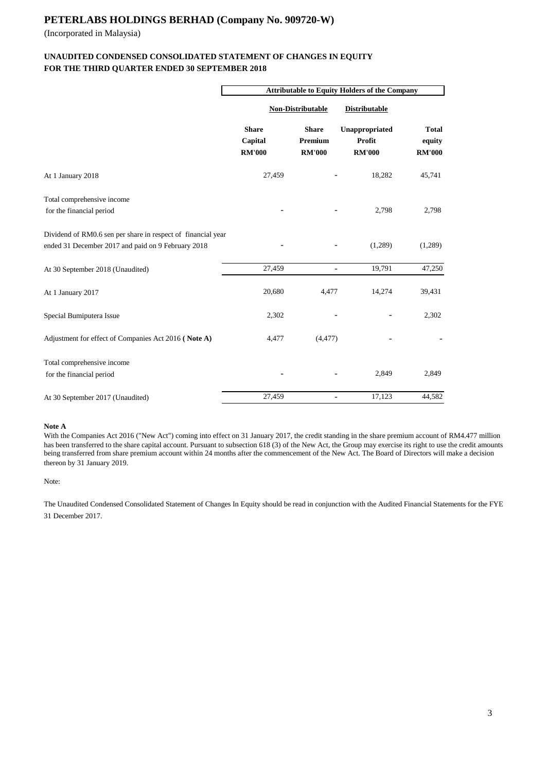(Incorporated in Malaysia)

#### **FOR THE THIRD QUARTER ENDED 30 SEPTEMBER 2018 UNAUDITED CONDENSED CONSOLIDATED STATEMENT OF CHANGES IN EQUITY**

|                                                                                                                    | <b>Attributable to Equity Holders of the Company</b> |                                          |                                           |                                         |  |  |
|--------------------------------------------------------------------------------------------------------------------|------------------------------------------------------|------------------------------------------|-------------------------------------------|-----------------------------------------|--|--|
|                                                                                                                    | <b>Non-Distributable</b>                             |                                          | <b>Distributable</b>                      |                                         |  |  |
|                                                                                                                    | <b>Share</b><br>Capital<br><b>RM'000</b>             | <b>Share</b><br>Premium<br><b>RM'000</b> | Unappropriated<br>Profit<br><b>RM'000</b> | <b>Total</b><br>equity<br><b>RM'000</b> |  |  |
| At 1 January 2018                                                                                                  | 27,459                                               |                                          | 18,282                                    | 45,741                                  |  |  |
| Total comprehensive income<br>for the financial period                                                             |                                                      |                                          | 2,798                                     | 2,798                                   |  |  |
| Dividend of RM0.6 sen per share in respect of financial year<br>ended 31 December 2017 and paid on 9 February 2018 |                                                      |                                          | (1,289)                                   | (1,289)                                 |  |  |
| At 30 September 2018 (Unaudited)                                                                                   | 27,459                                               | $\overline{a}$                           | 19,791                                    | 47,250                                  |  |  |
| At 1 January 2017                                                                                                  | 20,680                                               | 4,477                                    | 14,274                                    | 39,431                                  |  |  |
| Special Bumiputera Issue                                                                                           | 2,302                                                |                                          |                                           | 2,302                                   |  |  |
| Adjustment for effect of Companies Act 2016 (Note A)                                                               | 4,477                                                | (4, 477)                                 |                                           |                                         |  |  |
| Total comprehensive income<br>for the financial period                                                             |                                                      |                                          | 2,849                                     | 2,849                                   |  |  |
| At 30 September 2017 (Unaudited)                                                                                   | 27,459                                               | $\overline{\phantom{0}}$                 | 17,123                                    | 44,582                                  |  |  |

#### **Note A**

With the Companies Act 2016 ("New Act") coming into effect on 31 January 2017, the credit standing in the share premium account of RM4.477 million has been transferred to the share capital account. Pursuant to subsection 618 (3) of the New Act, the Group may exercise its right to use the credit amounts being transferred from share premium account within 24 months after the commencement of the New Act. The Board of Directors will make a decision thereon by 31 January 2019.

Note:

The Unaudited Condensed Consolidated Statement of Changes In Equity should be read in conjunction with the Audited Financial Statements for the FYE 31 December 2017.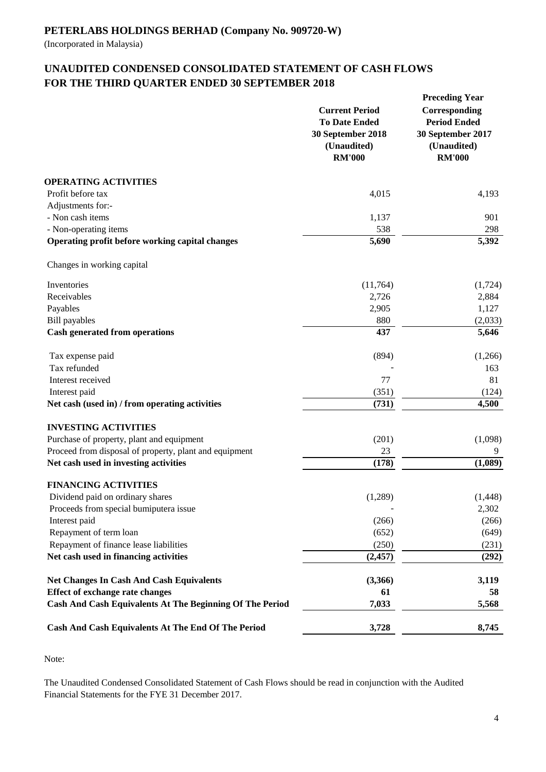(Incorporated in Malaysia)

# **UNAUDITED CONDENSED CONSOLIDATED STATEMENT OF CASH FLOWS FOR THE THIRD QUARTER ENDED 30 SEPTEMBER 2018**

|                                                                 | <b>Current Period</b><br><b>To Date Ended</b><br>30 September 2018<br>(Unaudited)<br><b>RM'000</b> | <b>Preceding Year</b><br>Corresponding<br><b>Period Ended</b><br>30 September 2017<br>(Unaudited)<br><b>RM'000</b> |
|-----------------------------------------------------------------|----------------------------------------------------------------------------------------------------|--------------------------------------------------------------------------------------------------------------------|
| <b>OPERATING ACTIVITIES</b>                                     |                                                                                                    |                                                                                                                    |
| Profit before tax                                               | 4,015                                                                                              | 4,193                                                                                                              |
| Adjustments for:-                                               |                                                                                                    |                                                                                                                    |
| - Non cash items                                                | 1,137                                                                                              | 901                                                                                                                |
| - Non-operating items                                           | 538                                                                                                | 298                                                                                                                |
| Operating profit before working capital changes                 | $\overline{5,690}$                                                                                 | 5,392                                                                                                              |
| Changes in working capital                                      |                                                                                                    |                                                                                                                    |
| Inventories                                                     | (11,764)                                                                                           | (1,724)                                                                                                            |
| Receivables                                                     | 2,726                                                                                              | 2,884                                                                                                              |
| Payables                                                        | 2,905                                                                                              | 1,127                                                                                                              |
| <b>Bill</b> payables                                            | 880                                                                                                | (2,033)                                                                                                            |
| Cash generated from operations                                  | 437                                                                                                | 5,646                                                                                                              |
| Tax expense paid                                                | (894)                                                                                              | (1,266)                                                                                                            |
| Tax refunded                                                    |                                                                                                    | 163                                                                                                                |
| Interest received                                               | 77                                                                                                 | 81                                                                                                                 |
| Interest paid                                                   | (351)                                                                                              | (124)                                                                                                              |
| Net cash (used in) / from operating activities                  | (731)                                                                                              | 4,500                                                                                                              |
| <b>INVESTING ACTIVITIES</b>                                     |                                                                                                    |                                                                                                                    |
| Purchase of property, plant and equipment                       | (201)                                                                                              | (1,098)                                                                                                            |
| Proceed from disposal of property, plant and equipment          | 23                                                                                                 | 9                                                                                                                  |
| Net cash used in investing activities                           | (178)                                                                                              | (1,089)                                                                                                            |
| <b>FINANCING ACTIVITIES</b>                                     |                                                                                                    |                                                                                                                    |
| Dividend paid on ordinary shares                                | (1,289)                                                                                            | (1, 448)                                                                                                           |
| Proceeds from special bumiputera issue                          |                                                                                                    | 2,302                                                                                                              |
| Interest paid                                                   | (266)                                                                                              | (266)                                                                                                              |
| Repayment of term loan                                          | (652)                                                                                              | (649)                                                                                                              |
| Repayment of finance lease liabilities                          | (250)                                                                                              | (231)                                                                                                              |
| Net cash used in financing activities                           | (2, 457)                                                                                           | (292)                                                                                                              |
| <b>Net Changes In Cash And Cash Equivalents</b>                 | (3,366)                                                                                            | 3,119                                                                                                              |
| <b>Effect of exchange rate changes</b>                          | 61                                                                                                 | 58                                                                                                                 |
| <b>Cash And Cash Equivalents At The Beginning Of The Period</b> | 7,033                                                                                              | 5,568                                                                                                              |
| Cash And Cash Equivalents At The End Of The Period              | 3,728                                                                                              | 8,745                                                                                                              |
|                                                                 |                                                                                                    |                                                                                                                    |

Note:

The Unaudited Condensed Consolidated Statement of Cash Flows should be read in conjunction with the Audited Financial Statements for the FYE 31 December 2017.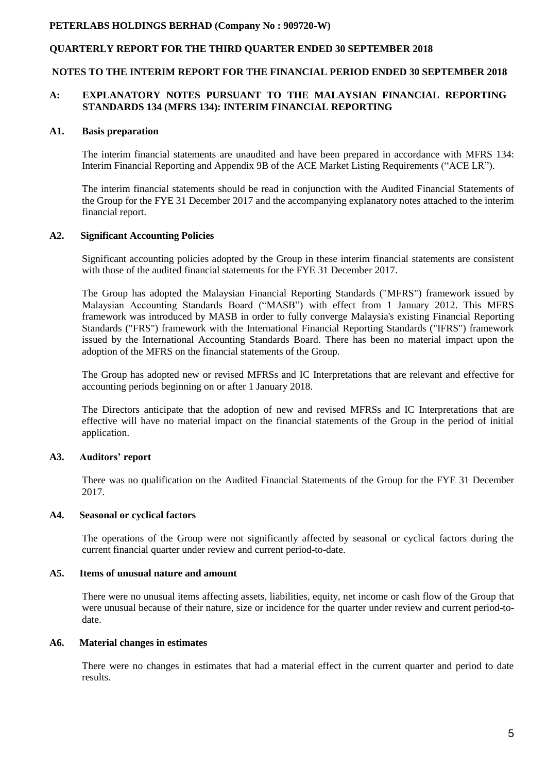#### **QUARTERLY REPORT FOR THE THIRD QUARTER ENDED 30 SEPTEMBER 2018**

#### **NOTES TO THE INTERIM REPORT FOR THE FINANCIAL PERIOD ENDED 30 SEPTEMBER 2018**

#### **A: EXPLANATORY NOTES PURSUANT TO THE MALAYSIAN FINANCIAL REPORTING STANDARDS 134 (MFRS 134): INTERIM FINANCIAL REPORTING**

#### **A1. Basis preparation**

The interim financial statements are unaudited and have been prepared in accordance with MFRS 134: Interim Financial Reporting and Appendix 9B of the ACE Market Listing Requirements ("ACE LR").

The interim financial statements should be read in conjunction with the Audited Financial Statements of the Group for the FYE 31 December 2017 and the accompanying explanatory notes attached to the interim financial report.

#### **A2. Significant Accounting Policies**

Significant accounting policies adopted by the Group in these interim financial statements are consistent with those of the audited financial statements for the FYE 31 December 2017.

The Group has adopted the Malaysian Financial Reporting Standards ("MFRS") framework issued by Malaysian Accounting Standards Board ("MASB") with effect from 1 January 2012. This MFRS framework was introduced by MASB in order to fully converge Malaysia's existing Financial Reporting Standards ("FRS") framework with the International Financial Reporting Standards ("IFRS") framework issued by the International Accounting Standards Board. There has been no material impact upon the adoption of the MFRS on the financial statements of the Group.

The Group has adopted new or revised MFRSs and IC Interpretations that are relevant and effective for accounting periods beginning on or after 1 January 2018.

The Directors anticipate that the adoption of new and revised MFRSs and IC Interpretations that are effective will have no material impact on the financial statements of the Group in the period of initial application.

#### **A3. Auditors' report**

There was no qualification on the Audited Financial Statements of the Group for the FYE 31 December 2017.

#### **A4. Seasonal or cyclical factors**

The operations of the Group were not significantly affected by seasonal or cyclical factors during the current financial quarter under review and current period-to-date.

#### **A5. Items of unusual nature and amount**

There were no unusual items affecting assets, liabilities, equity, net income or cash flow of the Group that were unusual because of their nature, size or incidence for the quarter under review and current period-todate.

#### **A6. Material changes in estimates**

There were no changes in estimates that had a material effect in the current quarter and period to date results.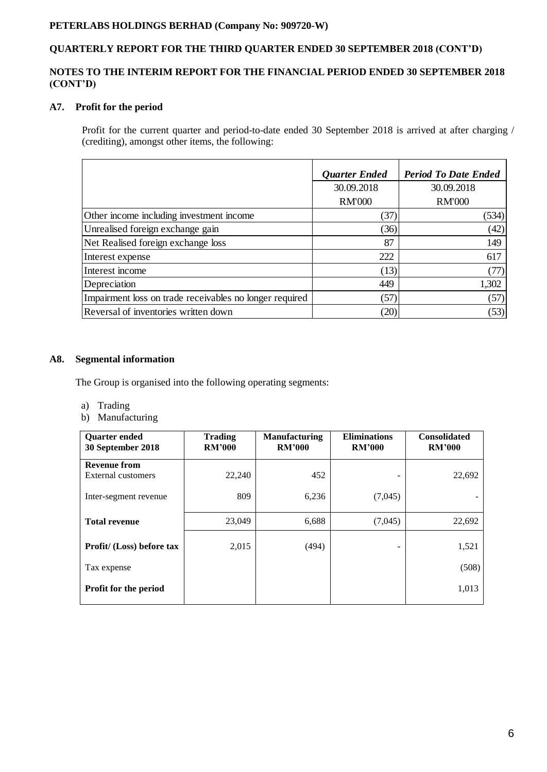# **QUARTERLY REPORT FOR THE THIRD QUARTER ENDED 30 SEPTEMBER 2018 (CONT'D)**

#### **NOTES TO THE INTERIM REPORT FOR THE FINANCIAL PERIOD ENDED 30 SEPTEMBER 2018 (CONT'D)**

## **A7. Profit for the period**

Profit for the current quarter and period-to-date ended 30 September 2018 is arrived at after charging / (crediting), amongst other items, the following:

|                                                         | <b>Quarter Ended</b> | <b>Period To Date Ended</b> |
|---------------------------------------------------------|----------------------|-----------------------------|
|                                                         | 30.09.2018           | 30.09.2018                  |
|                                                         | <b>RM'000</b>        | <b>RM'000</b>               |
| Other income including investment income                | (37)                 | (534)                       |
| Unrealised foreign exchange gain                        | (36)                 | (42)                        |
| Net Realised foreign exchange loss                      | 87                   | 149                         |
| Interest expense                                        | 222                  | 617                         |
| Interest income                                         | (13)                 | (77)                        |
| Depreciation                                            | 449                  | 1,302                       |
| Impairment loss on trade receivables no longer required | (57)                 | (57)                        |
| Reversal of inventories written down                    | (20)                 | (53)                        |

#### **A8. Segmental information**

The Group is organised into the following operating segments:

- a) Trading
- b) Manufacturing

| <b>Ouarter ended</b><br>30 September 2018 | <b>Trading</b><br><b>RM'000</b> | <b>Manufacturing</b><br><b>RM'000</b> | <b>Eliminations</b><br><b>RM'000</b> | <b>Consolidated</b><br><b>RM'000</b> |
|-------------------------------------------|---------------------------------|---------------------------------------|--------------------------------------|--------------------------------------|
| <b>Revenue from</b>                       |                                 |                                       |                                      |                                      |
| External customers                        | 22,240                          | 452                                   |                                      | 22,692                               |
| Inter-segment revenue                     | 809                             | 6,236                                 | (7,045)                              |                                      |
| <b>Total revenue</b>                      | 23,049                          | 6,688                                 | (7,045)                              | 22,692                               |
| Profit/ (Loss) before tax                 | 2,015                           | (494)                                 |                                      | 1,521                                |
| Tax expense                               |                                 |                                       |                                      | (508)                                |
| <b>Profit for the period</b>              |                                 |                                       |                                      | 1,013                                |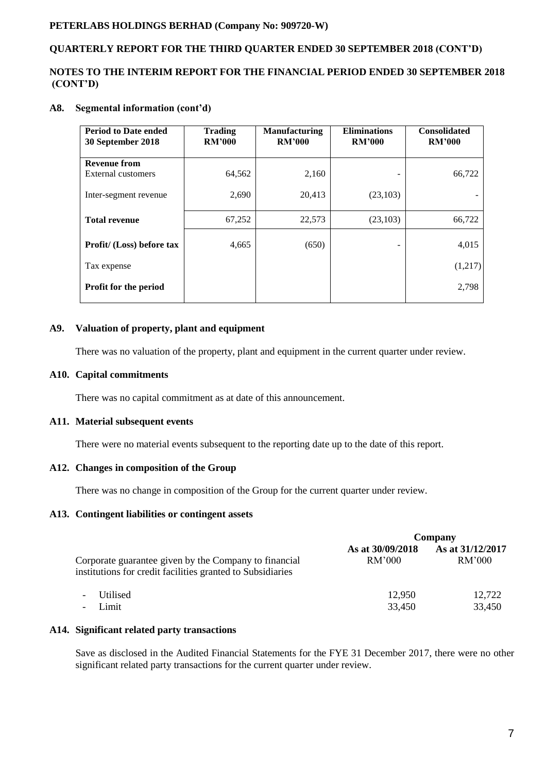### **QUARTERLY REPORT FOR THE THIRD QUARTER ENDED 30 SEPTEMBER 2018 (CONT'D)**

#### **NOTES TO THE INTERIM REPORT FOR THE FINANCIAL PERIOD ENDED 30 SEPTEMBER 2018 (CONT'D)**

#### **A8. Segmental information (cont'd)**

| <b>Period to Date ended</b><br>30 September 2018 | <b>Trading</b><br><b>RM'000</b> | <b>Manufacturing</b><br><b>RM'000</b> | <b>Eliminations</b><br><b>RM'000</b> | <b>Consolidated</b><br><b>RM'000</b> |
|--------------------------------------------------|---------------------------------|---------------------------------------|--------------------------------------|--------------------------------------|
| <b>Revenue from</b>                              |                                 |                                       |                                      |                                      |
| External customers                               | 64,562                          | 2,160                                 |                                      | 66,722                               |
| Inter-segment revenue                            | 2,690                           | 20,413                                | (23,103)                             |                                      |
| <b>Total revenue</b>                             | 67,252                          | 22,573                                | (23,103)                             | 66,722                               |
| Profit/ (Loss) before tax                        | 4,665                           | (650)                                 |                                      | 4,015                                |
| Tax expense                                      |                                 |                                       |                                      | (1,217)                              |
| <b>Profit for the period</b>                     |                                 |                                       |                                      | 2,798                                |

#### **A9. Valuation of property, plant and equipment**

There was no valuation of the property, plant and equipment in the current quarter under review.

#### **A10. Capital commitments**

There was no capital commitment as at date of this announcement.

#### **A11. Material subsequent events**

There were no material events subsequent to the reporting date up to the date of this report.

#### **A12. Changes in composition of the Group**

There was no change in composition of the Group for the current quarter under review.

#### **A13. Contingent liabilities or contingent assets**

|                                                                                                                     | Company                    |                            |  |
|---------------------------------------------------------------------------------------------------------------------|----------------------------|----------------------------|--|
| Corporate guarantee given by the Company to financial<br>institutions for credit facilities granted to Subsidiaries | As at 30/09/2018<br>RM'000 | As at 31/12/2017<br>RM'000 |  |
| <b>Utilised</b><br>$\overline{\phantom{a}}$                                                                         | 12,950                     | 12,722                     |  |
| Limit<br>$\overline{\phantom{a}}$                                                                                   | 33,450                     | 33,450                     |  |

#### **A14. Significant related party transactions**

Save as disclosed in the Audited Financial Statements for the FYE 31 December 2017, there were no other significant related party transactions for the current quarter under review.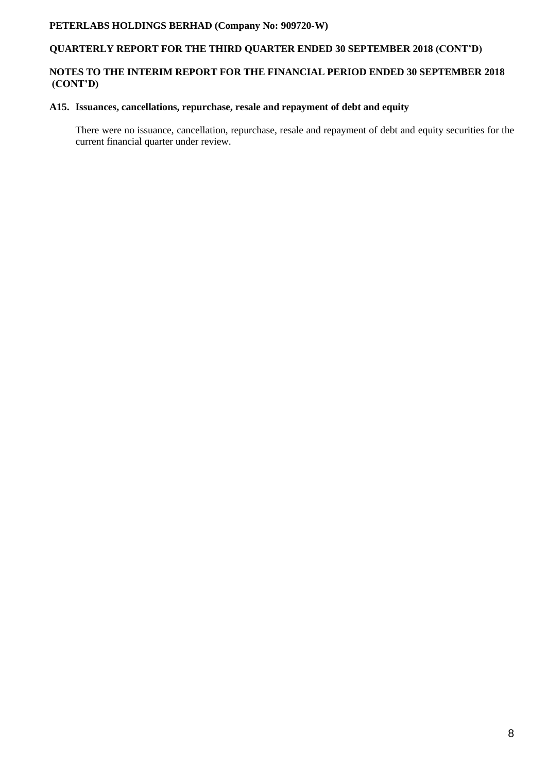## **QUARTERLY REPORT FOR THE THIRD QUARTER ENDED 30 SEPTEMBER 2018 (CONT'D)**

## **NOTES TO THE INTERIM REPORT FOR THE FINANCIAL PERIOD ENDED 30 SEPTEMBER 2018 (CONT'D)**

#### **A15. Issuances, cancellations, repurchase, resale and repayment of debt and equity**

There were no issuance, cancellation, repurchase, resale and repayment of debt and equity securities for the current financial quarter under review.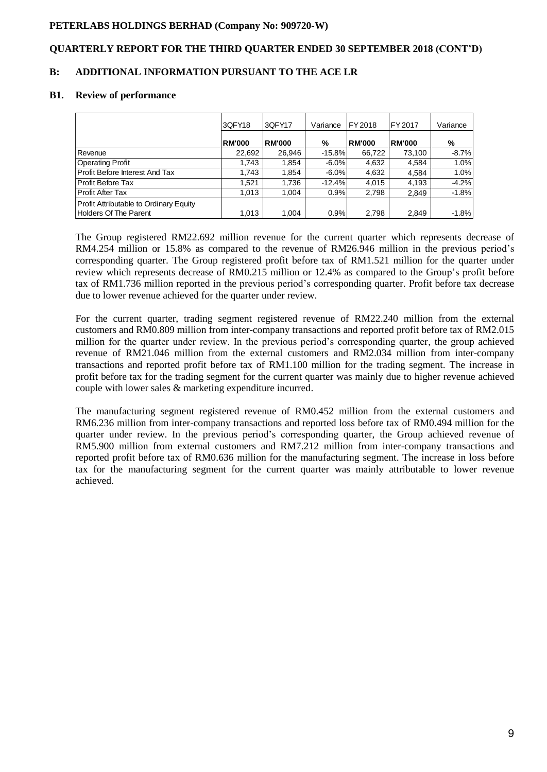#### **QUARTERLY REPORT FOR THE THIRD QUARTER ENDED 30 SEPTEMBER 2018 (CONT'D)**

#### **B: ADDITIONAL INFORMATION PURSUANT TO THE ACE LR**

#### **B1. Review of performance**

| 3QFY18 | 3QFY17                                                               | Variance               | FY 2018 | FY 2017                                                                         | Variance |
|--------|----------------------------------------------------------------------|------------------------|---------|---------------------------------------------------------------------------------|----------|
|        |                                                                      | %                      |         | <b>RM'000</b>                                                                   | %        |
|        | 26.946                                                               |                        | 66,722  | 73,100                                                                          | $-8.7%$  |
|        | 1,854                                                                |                        | 4,632   | 4,584                                                                           | 1.0%     |
|        | 1.854                                                                |                        | 4,632   | 4.584                                                                           | 1.0%     |
|        | 1.736                                                                |                        | 4.015   | 4,193                                                                           | $-4.2%$  |
|        | 1.004                                                                |                        | 2.798   | 2,849                                                                           | $-1.8%$  |
|        |                                                                      |                        |         |                                                                                 | $-1.8%$  |
|        | <b>RM'000</b><br>22,692<br>1,743<br>1.743<br>1.521<br>1.013<br>1,013 | <b>RM'000</b><br>1,004 | 0.9%    | <b>RM'000</b><br>$-15.8\%$<br>$-6.0\%$<br>$-6.0\%$<br>$-12.4%$<br>0.9%<br>2,798 | 2,849    |

The Group registered RM22.692 million revenue for the current quarter which represents decrease of RM4.254 million or 15.8% as compared to the revenue of RM26.946 million in the previous period's corresponding quarter. The Group registered profit before tax of RM1.521 million for the quarter under review which represents decrease of RM0.215 million or 12.4% as compared to the Group's profit before tax of RM1.736 million reported in the previous period's corresponding quarter. Profit before tax decrease due to lower revenue achieved for the quarter under review.

For the current quarter, trading segment registered revenue of RM22.240 million from the external customers and RM0.809 million from inter-company transactions and reported profit before tax of RM2.015 million for the quarter under review. In the previous period's corresponding quarter, the group achieved revenue of RM21.046 million from the external customers and RM2.034 million from inter-company transactions and reported profit before tax of RM1.100 million for the trading segment. The increase in profit before tax for the trading segment for the current quarter was mainly due to higher revenue achieved couple with lower sales & marketing expenditure incurred.

The manufacturing segment registered revenue of RM0.452 million from the external customers and RM6.236 million from inter-company transactions and reported loss before tax of RM0.494 million for the quarter under review. In the previous period's corresponding quarter, the Group achieved revenue of RM5.900 million from external customers and RM7.212 million from inter-company transactions and reported profit before tax of RM0.636 million for the manufacturing segment. The increase in loss before tax for the manufacturing segment for the current quarter was mainly attributable to lower revenue achieved.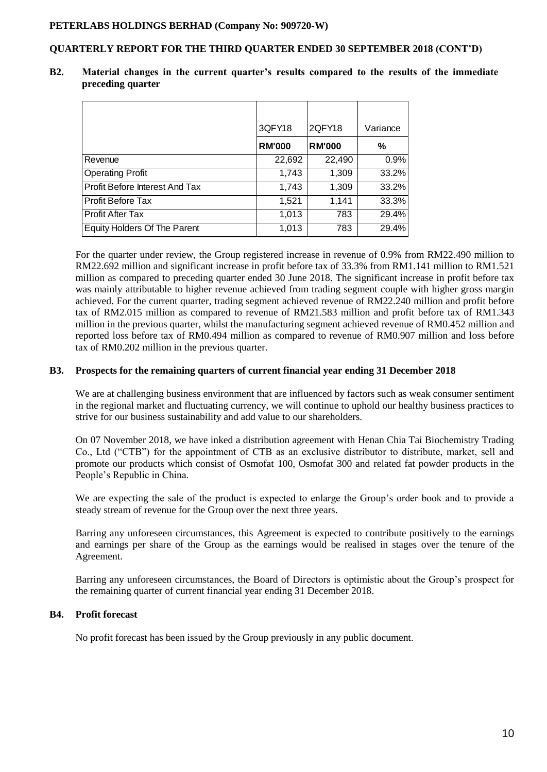#### **QUARTERLY REPORT FOR THE THIRD QUARTER ENDED 30 SEPTEMBER 2018 (CONT'D)**

|                                     | 3QFY18        | 2QFY18        | Variance |
|-------------------------------------|---------------|---------------|----------|
|                                     | <b>RM'000</b> | <b>RM'000</b> | %        |
| Revenue                             | 22,692        | 22,490        | 0.9%     |
| <b>Operating Profit</b>             | 1,743         | 1,309         | 33.2%    |
| Profit Before Interest And Tax      | 1,743         | 1,309         | 33.2%    |
| <b>Profit Before Tax</b>            | 1,521         | 1,141         | 33.3%    |
| <b>Profit After Tax</b>             | 1,013         | 783           | 29.4%    |
| <b>Equity Holders Of The Parent</b> | 1,013         | 783           | 29.4%    |

**B2. Material changes in the current quarter's results compared to the results of the immediate preceding quarter**

For the quarter under review, the Group registered increase in revenue of 0.9% from RM22.490 million to RM22.692 million and significant increase in profit before tax of 33.3% from RM1.141 million to RM1.521 million as compared to preceding quarter ended 30 June 2018. The significant increase in profit before tax was mainly attributable to higher revenue achieved from trading segment couple with higher gross margin achieved. For the current quarter, trading segment achieved revenue of RM22.240 million and profit before tax of RM2.015 million as compared to revenue of RM21.583 million and profit before tax of RM1.343 million in the previous quarter, whilst the manufacturing segment achieved revenue of RM0.452 million and reported loss before tax of RM0.494 million as compared to revenue of RM0.907 million and loss before tax of RM0.202 million in the previous quarter.

#### **B3. Prospects for the remaining quarters of current financial year ending 31 December 2018**

We are at challenging business environment that are influenced by factors such as weak consumer sentiment in the regional market and fluctuating currency, we will continue to uphold our healthy business practices to strive for our business sustainability and add value to our shareholders.

On 07 November 2018, we have inked a distribution agreement with Henan Chia Tai Biochemistry Trading Co., Ltd ("CTB") for the appointment of CTB as an exclusive distributor to distribute, market, sell and promote our products which consist of Osmofat 100, Osmofat 300 and related fat powder products in the People's Republic in China.

We are expecting the sale of the product is expected to enlarge the Group's order book and to provide a steady stream of revenue for the Group over the next three years.

Barring any unforeseen circumstances, this Agreement is expected to contribute positively to the earnings and earnings per share of the Group as the earnings would be realised in stages over the tenure of the Agreement.

Barring any unforeseen circumstances, the Board of Directors is optimistic about the Group's prospect for the remaining quarter of current financial year ending 31 December 2018.

#### **B4. Profit forecast**

No profit forecast has been issued by the Group previously in any public document.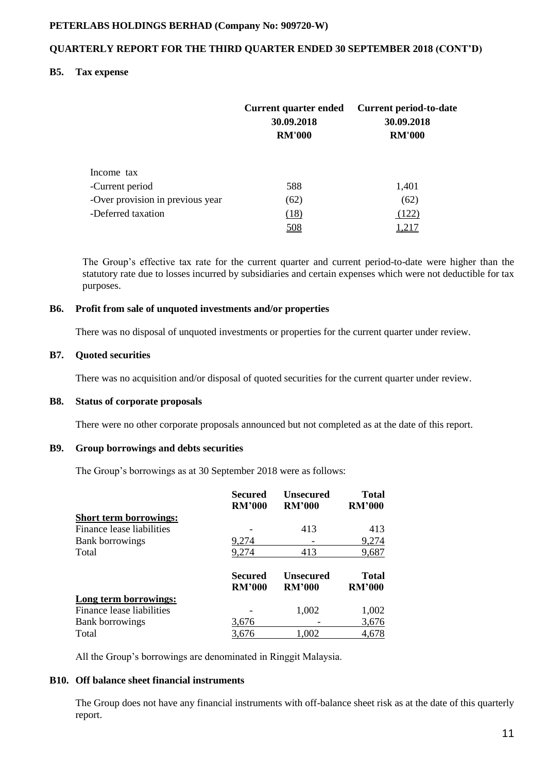#### **QUARTERLY REPORT FOR THE THIRD QUARTER ENDED 30 SEPTEMBER 2018 (CONT'D)**

#### **B5. Tax expense**

|                                  | <b>Current quarter ended</b><br>30.09.2018<br><b>RM'000</b> | <b>Current period-to-date</b><br>30.09.2018<br><b>RM'000</b> |
|----------------------------------|-------------------------------------------------------------|--------------------------------------------------------------|
| Income tax                       |                                                             |                                                              |
| -Current period                  | 588                                                         | 1,401                                                        |
| -Over provision in previous year | (62)                                                        | (62)                                                         |
| -Deferred taxation               | (18)                                                        | (122)                                                        |
|                                  | 508                                                         | 1,217                                                        |

The Group's effective tax rate for the current quarter and current period-to-date were higher than the statutory rate due to losses incurred by subsidiaries and certain expenses which were not deductible for tax purposes.

#### **B6. Profit from sale of unquoted investments and/or properties**

There was no disposal of unquoted investments or properties for the current quarter under review.

#### **B7. Quoted securities**

There was no acquisition and/or disposal of quoted securities for the current quarter under review.

#### **B8. Status of corporate proposals**

There were no other corporate proposals announced but not completed as at the date of this report.

#### **B9. Group borrowings and debts securities**

The Group's borrowings as at 30 September 2018 were as follows:

|                               | <b>Secured</b><br><b>RM'000</b> | <b>Unsecured</b><br><b>RM'000</b> | <b>Total</b><br><b>RM'000</b> |
|-------------------------------|---------------------------------|-----------------------------------|-------------------------------|
| <b>Short term borrowings:</b> |                                 |                                   |                               |
| Finance lease liabilities     |                                 | 413                               | 413                           |
| <b>Bank borrowings</b>        | 9,274                           |                                   | 9,274                         |
| Total                         | 9,274                           | 413                               | 9,687                         |
|                               | <b>Secured</b><br><b>RM'000</b> | <b>Unsecured</b><br><b>RM'000</b> | Total<br><b>RM'000</b>        |
| Long term borrowings:         |                                 |                                   |                               |
| Finance lease liabilities     |                                 | 1,002                             | 1,002                         |
| <b>Bank borrowings</b>        | 3,676                           |                                   | 3,676                         |
| Total                         | 3,676                           | 1,002                             | 4,678                         |

All the Group's borrowings are denominated in Ringgit Malaysia.

#### **B10. Off balance sheet financial instruments**

The Group does not have any financial instruments with off-balance sheet risk as at the date of this quarterly report.